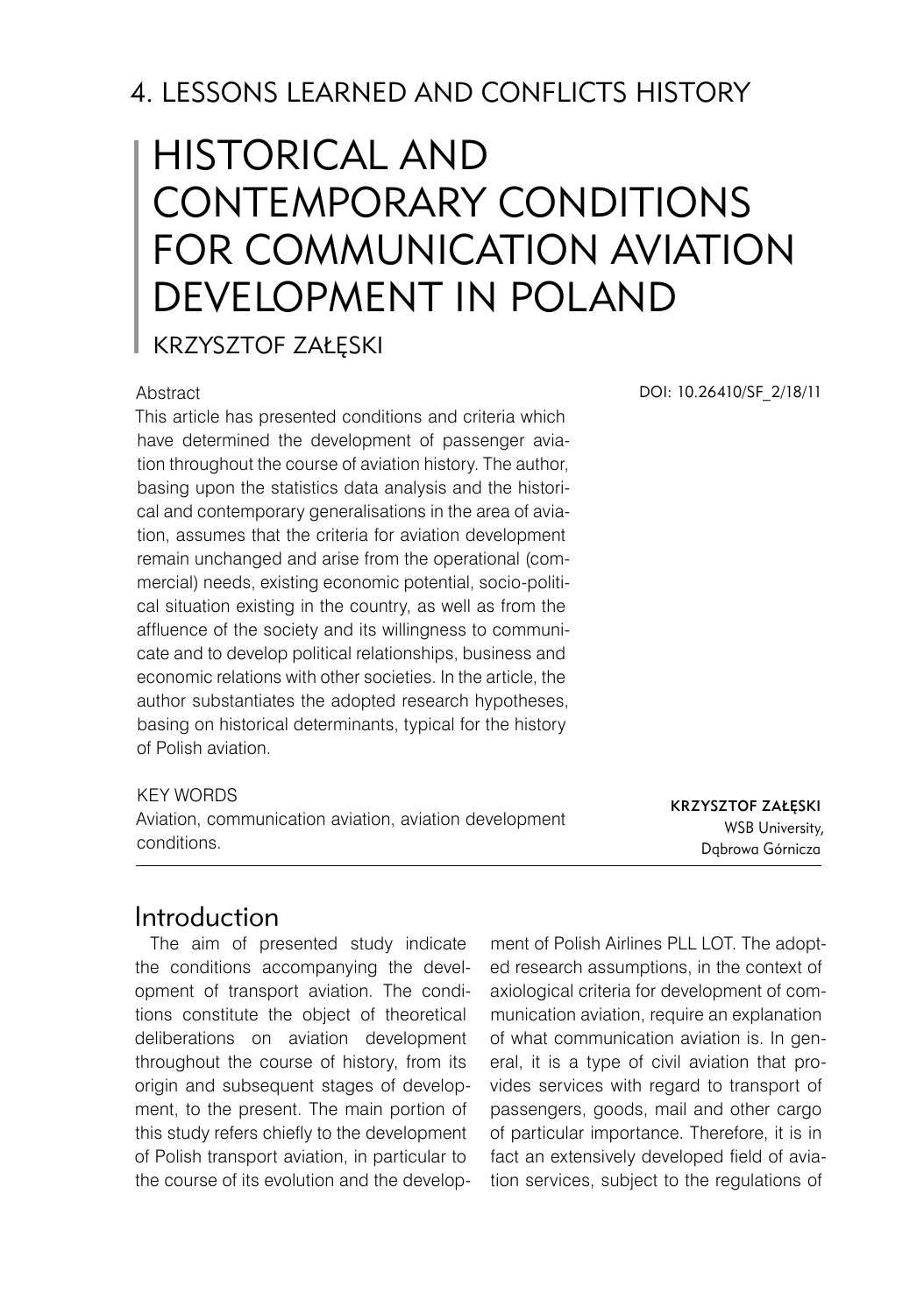# 4. LESSONS LEARNED AND CONFLICTS HISTORY

# Historical and contemporary conditions for communication aviation development in Poland

Krzysztof Załęski

#### **Abstract**

This article has presented conditions and criteria which have determined the development of passenger aviation throughout the course of aviation history. The author, basing upon the statistics data analysis and the historical and contemporary generalisations in the area of aviation, assumes that the criteria for aviation development remain unchanged and arise from the operational (commercial) needs, existing economic potential, socio-political situation existing in the country, as well as from the affluence of the society and its willingness to communicate and to develop political relationships, business and economic relations with other societies. In the article, the author substantiates the adopted research hypotheses, basing on historical determinants, typical for the history of Polish aviation.

#### KFY WORDS

Aviation, communication aviation, aviation development conditions.

DOI: 10.26410/SF\_2/18/11

Krzysztof Załęski WSB University, Dąbrowa Górnicza

### Introduction

The aim of presented study indicate the conditions accompanying the development of transport aviation. The conditions constitute the object of theoretical deliberations on aviation development throughout the course of history, from its origin and subsequent stages of development, to the present. The main portion of this study refers chiefly to the development of Polish transport aviation, in particular to the course of its evolution and the development of Polish Airlines PLL LOT. The adopted research assumptions, in the context of axiological criteria for development of communication aviation, require an explanation of what communication aviation is. In general, it is a type of civil aviation that provides services with regard to transport of passengers, goods, mail and other cargo of particular importance. Therefore, it is in fact an extensively developed field of aviation services, subject to the regulations of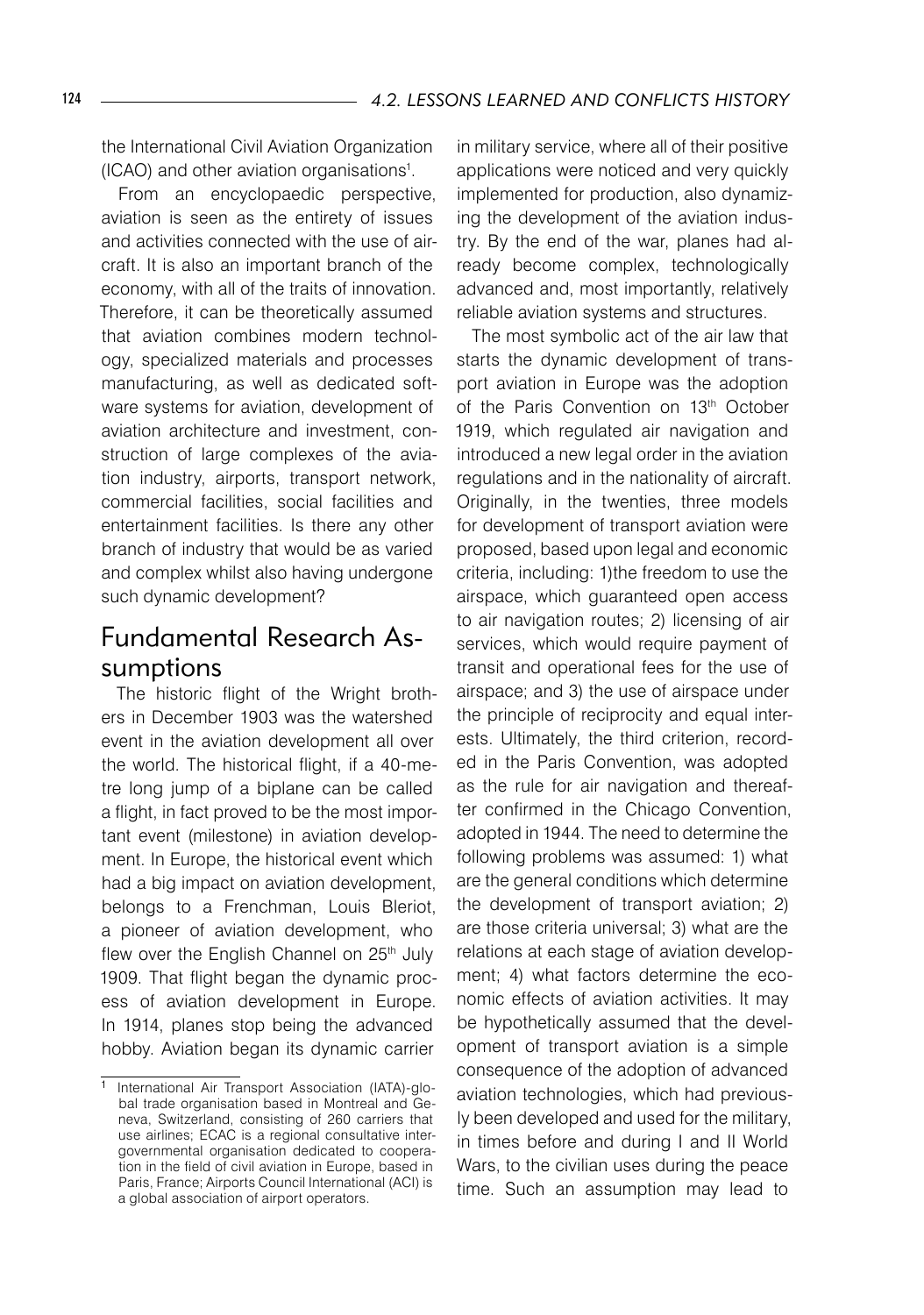the International Civil Aviation Organization (ICAO) and other aviation organisations<sup>1</sup> .

From an encyclopaedic perspective, aviation is seen as the entirety of issues and activities connected with the use of aircraft. It is also an important branch of the economy, with all of the traits of innovation. Therefore, it can be theoretically assumed that aviation combines modern technology, specialized materials and processes manufacturing, as well as dedicated software systems for aviation, development of aviation architecture and investment, construction of large complexes of the aviation industry, airports, transport network, commercial facilities, social facilities and entertainment facilities. Is there any other branch of industry that would be as varied and complex whilst also having undergone such dynamic development?

# Fundamental Research Assumptions

The historic flight of the Wright brothers in December 1903 was the watershed event in the aviation development all over the world. The historical flight, if a 40-metre long jump of a biplane can be called a flight, in fact proved to be the most important event (milestone) in aviation development. In Europe, the historical event which had a big impact on aviation development, belongs to a Frenchman, Louis Bleriot, a pioneer of aviation development, who flew over the English Channel on 25<sup>th</sup> July 1909. That flight began the dynamic process of aviation development in Europe. In 1914, planes stop being the advanced hobby. Aviation began its dynamic carrier

in military service, where all of their positive applications were noticed and very quickly implemented for production, also dynamizing the development of the aviation industry. By the end of the war, planes had already become complex, technologically advanced and, most importantly, relatively reliable aviation systems and structures.

The most symbolic act of the air law that starts the dynamic development of transport aviation in Europe was the adoption of the Paris Convention on 13<sup>th</sup> October 1919, which regulated air navigation and introduced a new legal order in the aviation regulations and in the nationality of aircraft. Originally, in the twenties, three models for development of transport aviation were proposed, based upon legal and economic criteria, including: 1)the freedom to use the airspace, which guaranteed open access to air navigation routes; 2) licensing of air services, which would require payment of transit and operational fees for the use of airspace; and 3) the use of airspace under the principle of reciprocity and equal interests. Ultimately, the third criterion, recorded in the Paris Convention, was adopted as the rule for air navigation and thereafter confirmed in the Chicago Convention, adopted in 1944. The need to determine the following problems was assumed: 1) what are the general conditions which determine the development of transport aviation; 2) are those criteria universal; 3) what are the relations at each stage of aviation development; 4) what factors determine the economic effects of aviation activities. It may be hypothetically assumed that the development of transport aviation is a simple consequence of the adoption of advanced aviation technologies, which had previously been developed and used for the military, in times before and during I and II World Wars, to the civilian uses during the peace time. Such an assumption may lead to

International Air Transport Association (IATA)-global trade organisation based in Montreal and Geneva, Switzerland, consisting of 260 carriers that use airlines; ECAC is a regional consultative intergovernmental organisation dedicated to cooperation in the field of civil aviation in Europe, based in Paris, France; Airports Council International (ACI) is a global association of airport operators.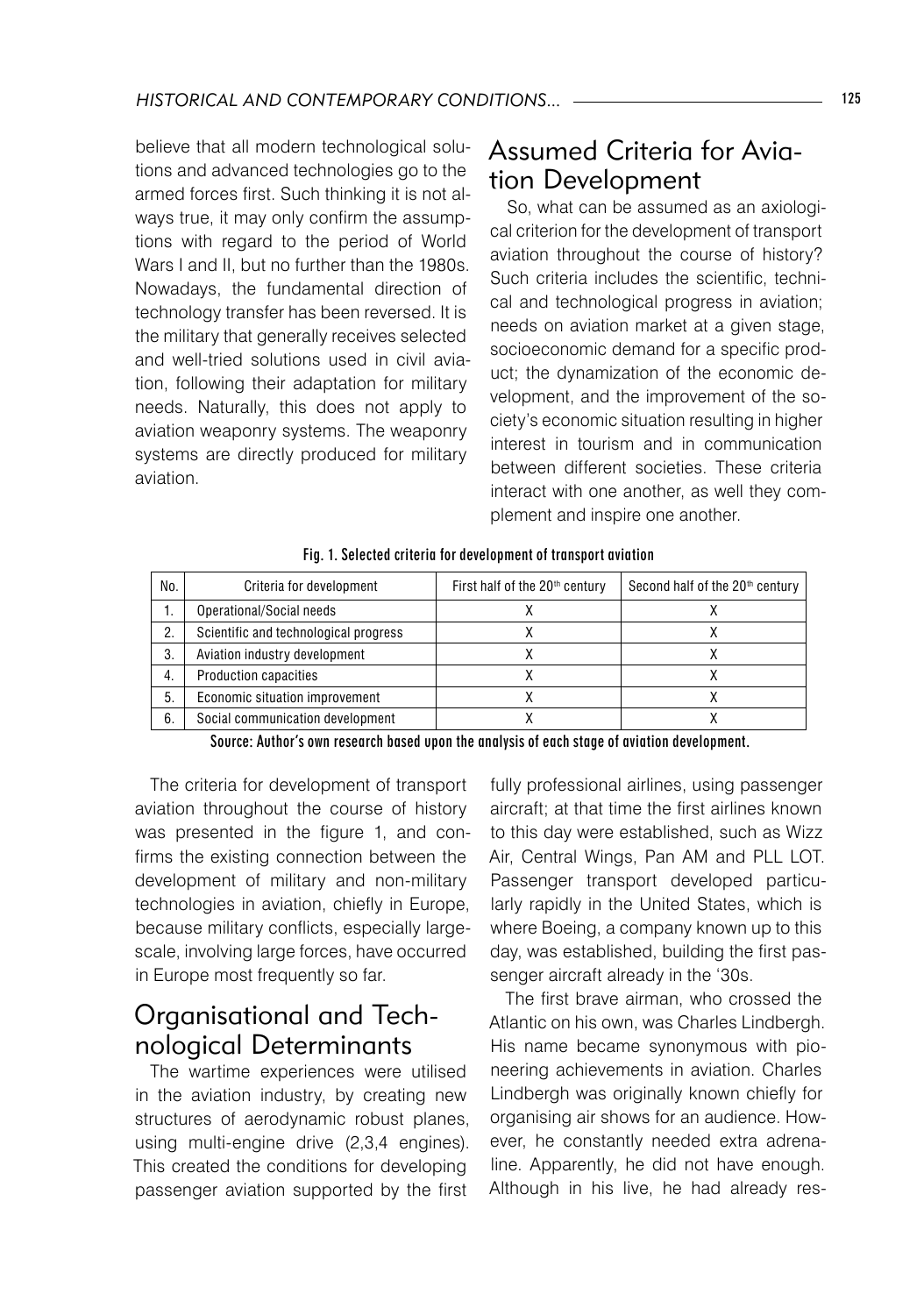believe that all modern technological solutions and advanced technologies go to the armed forces first. Such thinking it is not always true, it may only confirm the assumptions with regard to the period of World Wars I and II, but no further than the 1980s. Nowadays, the fundamental direction of technology transfer has been reversed. It is the military that generally receives selected and well-tried solutions used in civil aviation, following their adaptation for military needs. Naturally, this does not apply to aviation weaponry systems. The weaponry systems are directly produced for military aviation.

### Assumed Criteria for Aviation Development

So, what can be assumed as an axiological criterion for the development of transport aviation throughout the course of history? Such criteria includes the scientific, technical and technological progress in aviation; needs on aviation market at a given stage, socioeconomic demand for a specific product; the dynamization of the economic development, and the improvement of the society's economic situation resulting in higher interest in tourism and in communication between different societies. These criteria interact with one another, as well they complement and inspire one another.

| No.              | Criteria for development              | First half of the 20 <sup>th</sup> century | Second half of the 20 <sup>th</sup> century |
|------------------|---------------------------------------|--------------------------------------------|---------------------------------------------|
| ι.               | Operational/Social needs              |                                            |                                             |
| 2.               | Scientific and technological progress |                                            |                                             |
| 3.               | Aviation industry development         |                                            |                                             |
| $\overline{4}$ . | <b>Production capacities</b>          |                                            |                                             |
| 5.               | Economic situation improvement        |                                            |                                             |
| 6.               | Social communication development      |                                            |                                             |

Fig. 1. Selected criteria for development of transport aviation

Source: Author's own research based upon the analysis of each stage of aviation development.

The criteria for development of transport aviation throughout the course of history was presented in the figure 1, and confirms the existing connection between the development of military and non-military technologies in aviation, chiefly in Europe, because military conflicts, especially largescale, involving large forces, have occurred in Europe most frequently so far.

# Organisational and Technological Determinants

The wartime experiences were utilised in the aviation industry, by creating new structures of aerodynamic robust planes, using multi-engine drive (2,3,4 engines). This created the conditions for developing passenger aviation supported by the first

fully professional airlines, using passenger aircraft; at that time the first airlines known to this day were established, such as Wizz Air, Central Wings, Pan AM and PLL LOT. Passenger transport developed particularly rapidly in the United States, which is where Boeing, a company known up to this day, was established, building the first passenger aircraft already in the '30s.

The first brave airman, who crossed the Atlantic on his own, was Charles Lindbergh. His name became synonymous with pioneering achievements in aviation. Charles Lindbergh was originally known chiefly for organising air shows for an audience. However, he constantly needed extra adrenaline. Apparently, he did not have enough. Although in his live, he had already res-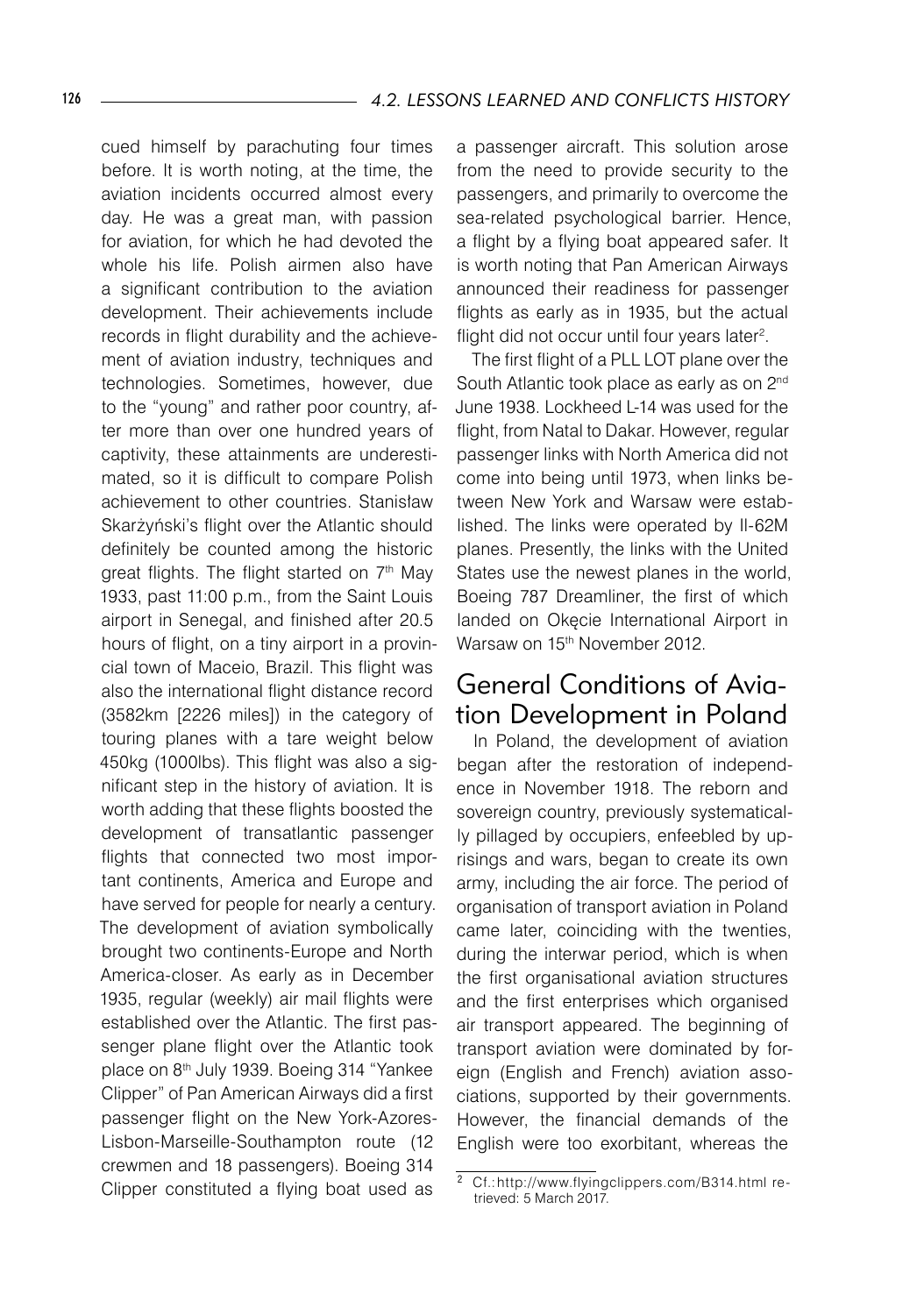cued himself by parachuting four times before. It is worth noting, at the time, the aviation incidents occurred almost every day. He was a great man, with passion for aviation, for which he had devoted the whole his life. Polish airmen also have a significant contribution to the aviation development. Their achievements include records in flight durability and the achievement of aviation industry, techniques and technologies. Sometimes, however, due to the "young" and rather poor country, after more than over one hundred years of captivity, these attainments are underestimated, so it is difficult to compare Polish achievement to other countries. Stanisław Skarżyński's flight over the Atlantic should definitely be counted among the historic great flights. The flight started on 7<sup>th</sup> May 1933, past 11:00 p.m., from the Saint Louis airport in Senegal, and finished after 20.5 hours of flight, on a tiny airport in a provincial town of Maceio, Brazil. This flight was also the international flight distance record (3582km [2226 miles]) in the category of touring planes with a tare weight below 450kg (1000lbs). This flight was also a significant step in the history of aviation. It is worth adding that these flights boosted the development of transatlantic passenger flights that connected two most important continents, America and Europe and have served for people for nearly a century. The development of aviation symbolically brought two continents-Europe and North America-closer. As early as in December 1935, regular (weekly) air mail flights were established over the Atlantic. The first passenger plane flight over the Atlantic took place on 8<sup>th</sup> July 1939. Boeing 314 "Yankee Clipper" of Pan American Airways did a first passenger flight on the New York-Azores-Lisbon-Marseille-Southampton route (12 crewmen and 18 passengers). Boeing 314 Clipper constituted a flying boat used as

a passenger aircraft. This solution arose from the need to provide security to the passengers, and primarily to overcome the sea-related psychological barrier. Hence, a flight by a flying boat appeared safer. It is worth noting that Pan American Airways announced their readiness for passenger flights as early as in 1935, but the actual flight did not occur until four years later $^2$ .

The first flight of a PLL LOT plane over the South Atlantic took place as early as on 2<sup>nd</sup> June 1938. Lockheed L-14 was used for the flight, from Natal to Dakar. However, regular passenger links with North America did not come into being until 1973, when links between New York and Warsaw were established. The links were operated by Il-62M planes. Presently, the links with the United States use the newest planes in the world, Boeing 787 Dreamliner, the first of which landed on Okęcie International Airport in Warsaw on 15<sup>th</sup> November 2012.

### General Conditions of Aviation Development in Poland

In Poland, the development of aviation began after the restoration of independence in November 1918. The reborn and sovereign country, previously systematically pillaged by occupiers, enfeebled by uprisings and wars, began to create its own army, including the air force. The period of organisation of transport aviation in Poland came later, coinciding with the twenties, during the interwar period, which is when the first organisational aviation structures and the first enterprises which organised air transport appeared. The beginning of transport aviation were dominated by foreign (English and French) aviation associations, supported by their governments. However, the financial demands of the English were too exorbitant, whereas the

Cf.: http://www.flyingclippers.com/B314.html retrieved: 5 March 2017.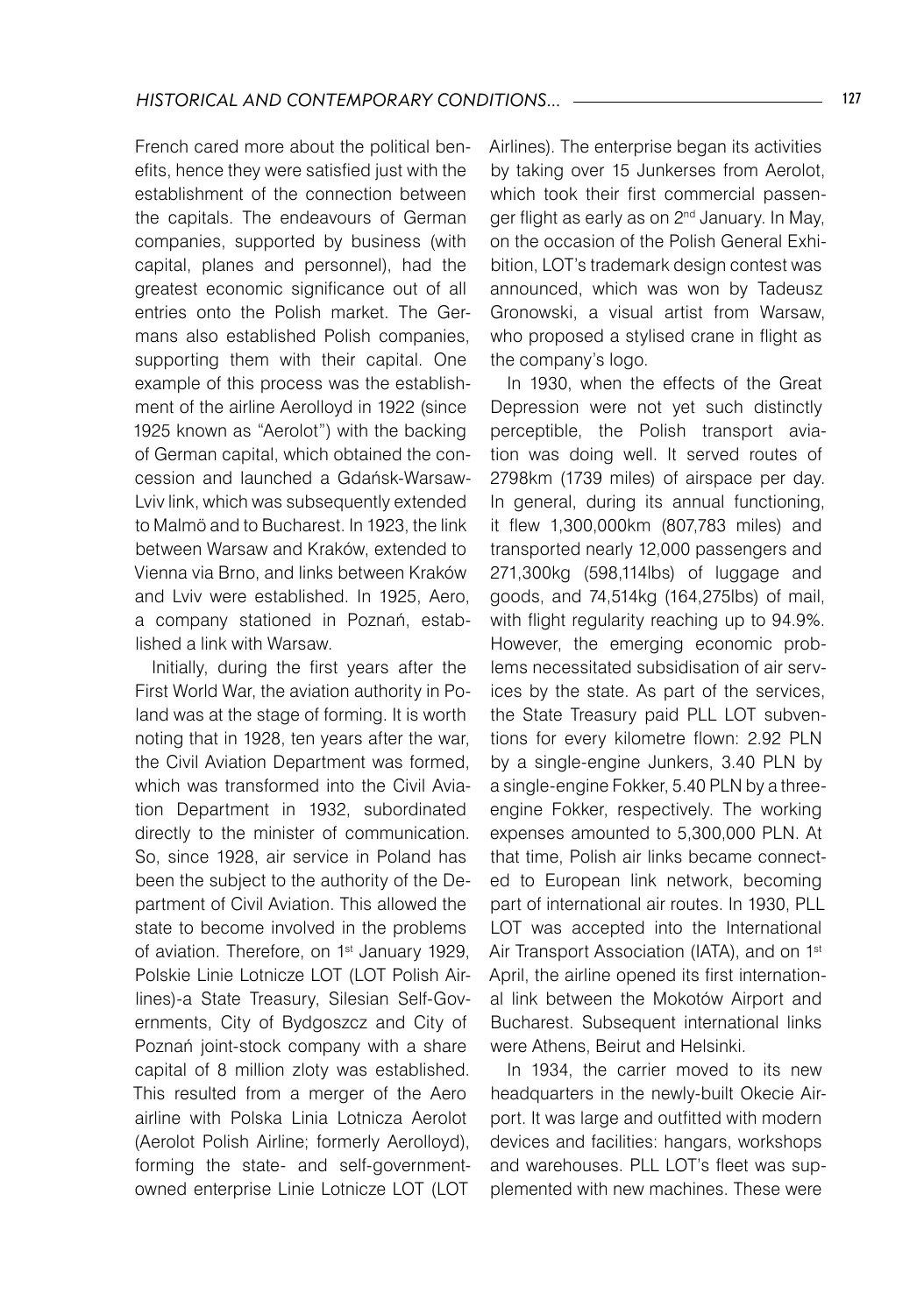French cared more about the political benefits, hence they were satisfied just with the establishment of the connection between the capitals. The endeavours of German companies, supported by business (with capital, planes and personnel), had the greatest economic significance out of all entries onto the Polish market. The Germans also established Polish companies, supporting them with their capital. One example of this process was the establishment of the airline Aerolloyd in 1922 (since 1925 known as "Aerolot") with the backing of German capital, which obtained the concession and launched a Gdańsk-Warsaw-Lviv link, which was subsequently extended to Malmö and to Bucharest. In 1923, the link between Warsaw and Kraków, extended to Vienna via Brno, and links between Kraków and Lviv were established. In 1925, Aero, a company stationed in Poznań, established a link with Warsaw.

Initially, during the first years after the First World War, the aviation authority in Poland was at the stage of forming. It is worth noting that in 1928, ten years after the war, the Civil Aviation Department was formed, which was transformed into the Civil Aviation Department in 1932, subordinated directly to the minister of communication. So, since 1928, air service in Poland has been the subject to the authority of the Department of Civil Aviation. This allowed the state to become involved in the problems of aviation. Therefore, on 1<sup>st</sup> January 1929, Polskie Linie Lotnicze LOT (LOT Polish Airlines)-a State Treasury, Silesian Self-Governments, City of Bydgoszcz and City of Poznań joint-stock company with a share capital of 8 million zloty was established. This resulted from a merger of the Aero airline with Polska Linia Lotnicza Aerolot (Aerolot Polish Airline; formerly Aerolloyd), forming the state- and self-governmentowned enterprise Linie Lotnicze LOT (LOT

Airlines). The enterprise began its activities by taking over 15 Junkerses from Aerolot, which took their first commercial passenger flight as early as on 2<sup>nd</sup> January. In May, on the occasion of the Polish General Exhibition, LOT's trademark design contest was announced, which was won by Tadeusz Gronowski, a visual artist from Warsaw, who proposed a stylised crane in flight as the company's logo.

In 1930, when the effects of the Great Depression were not yet such distinctly perceptible, the Polish transport aviation was doing well. It served routes of 2798km (1739 miles) of airspace per day. In general, during its annual functioning, it flew 1,300,000km (807,783 miles) and transported nearly 12,000 passengers and 271,300kg (598,114lbs) of luggage and goods, and 74,514kg (164,275lbs) of mail, with flight regularity reaching up to 94.9%. However, the emerging economic problems necessitated subsidisation of air services by the state. As part of the services, the State Treasury paid PLL LOT subventions for every kilometre flown: 2.92 PLN by a single-engine Junkers, 3.40 PLN by a single-engine Fokker, 5.40 PLN by a threeengine Fokker, respectively. The working expenses amounted to 5,300,000 PLN. At that time, Polish air links became connected to European link network, becoming part of international air routes. In 1930, PLL LOT was accepted into the International Air Transport Association (IATA), and on 1<sup>st</sup> April, the airline opened its first international link between the Mokotów Airport and Bucharest. Subsequent international links were Athens, Beirut and Helsinki.

In 1934, the carrier moved to its new headquarters in the newly-built Okecie Airport. It was large and outfitted with modern devices and facilities: hangars, workshops and warehouses. PLL LOT's fleet was supplemented with new machines. These were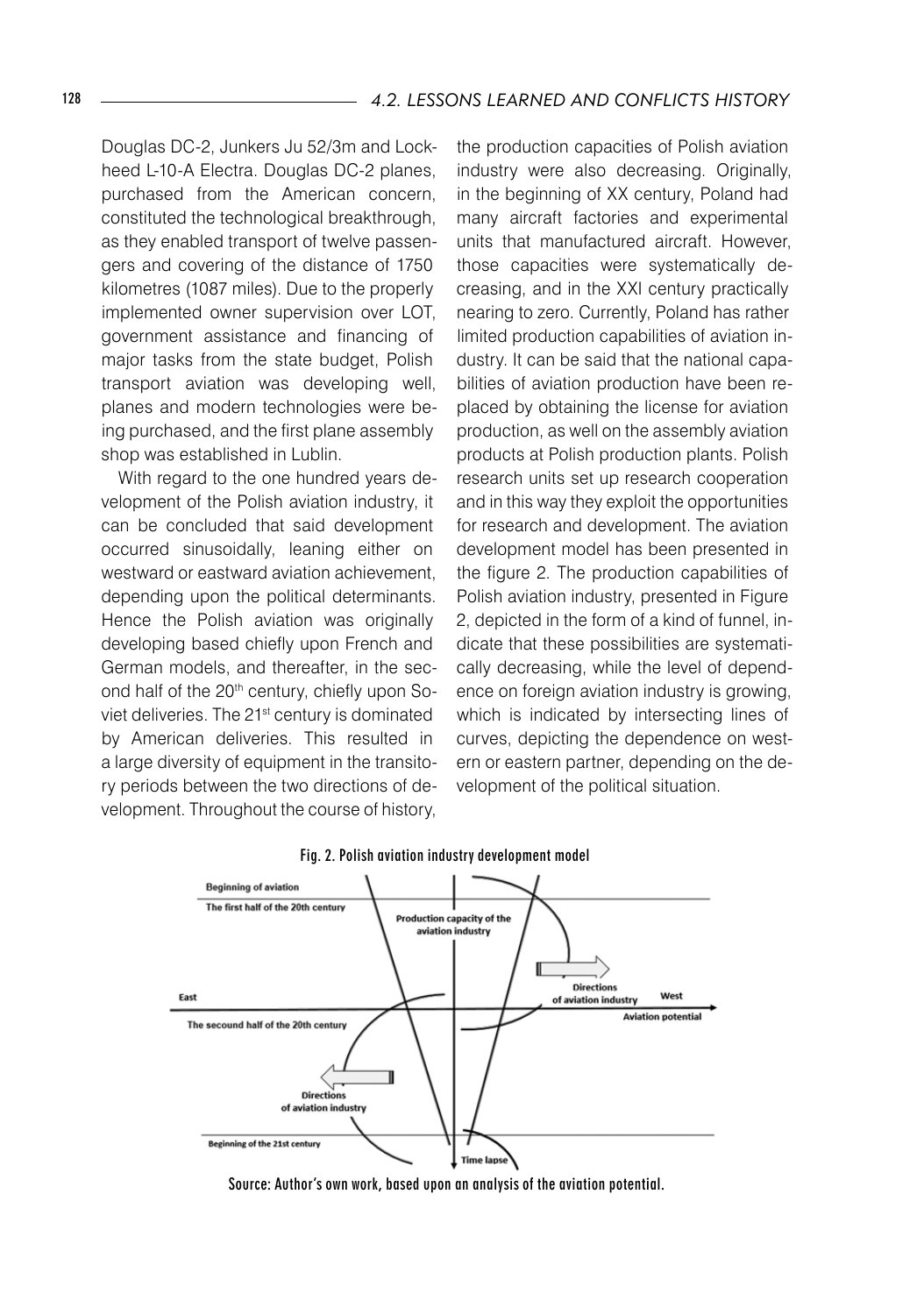Douglas DC-2, Junkers Ju 52/3m and Lockheed L-10-A Electra. Douglas DC-2 planes, purchased from the American concern, constituted the technological breakthrough, as they enabled transport of twelve passengers and covering of the distance of 1750 kilometres (1087 miles). Due to the properly implemented owner supervision over LOT, government assistance and financing of major tasks from the state budget, Polish transport aviation was developing well, planes and modern technologies were being purchased, and the first plane assembly shop was established in Lublin.

With regard to the one hundred years development of the Polish aviation industry, it can be concluded that said development occurred sinusoidally, leaning either on westward or eastward aviation achievement. depending upon the political determinants. Hence the Polish aviation was originally developing based chiefly upon French and German models, and thereafter, in the second half of the 20<sup>th</sup> century, chiefly upon Soviet deliveries. The 21<sup>st</sup> century is dominated by American deliveries. This resulted in a large diversity of equipment in the transitory periods between the two directions of development. Throughout the course of history, the production capacities of Polish aviation industry were also decreasing. Originally, in the beginning of XX century, Poland had many aircraft factories and experimental units that manufactured aircraft. However, those capacities were systematically decreasing, and in the XXI century practically nearing to zero. Currently, Poland has rather limited production capabilities of aviation industry. It can be said that the national capabilities of aviation production have been replaced by obtaining the license for aviation production, as well on the assembly aviation products at Polish production plants. Polish research units set up research cooperation and in this way they exploit the opportunities for research and development. The aviation development model has been presented in the figure 2. The production capabilities of Polish aviation industry, presented in Figure 2, depicted in the form of a kind of funnel, indicate that these possibilities are systematically decreasing, while the level of dependence on foreign aviation industry is growing, which is indicated by intersecting lines of curves, depicting the dependence on western or eastern partner, depending on the development of the political situation.



#### Fig. 2. Polish aviation industry development model

Source: Author's own work, based upon an analysis of the aviation potential.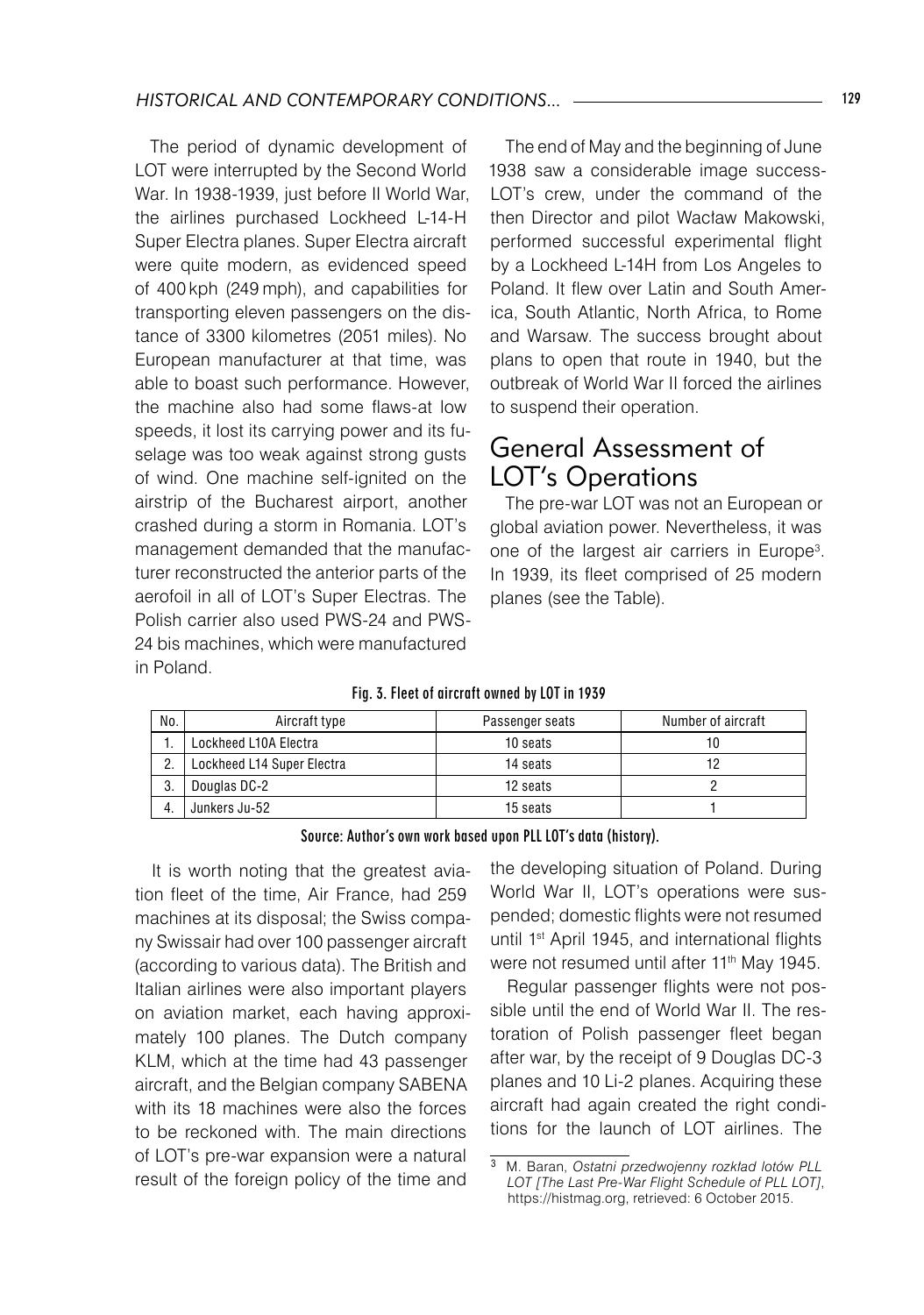The period of dynamic development of LOT were interrupted by the Second World War. In 1938-1939, just before II World War, the airlines purchased Lockheed L-14-H Super Electra planes. Super Electra aircraft were quite modern, as evidenced speed of 400 kph (249 mph), and capabilities for transporting eleven passengers on the distance of 3300 kilometres (2051 miles). No European manufacturer at that time, was able to boast such performance. However, the machine also had some flaws-at low speeds, it lost its carrying power and its fuselage was too weak against strong gusts of wind. One machine self-ignited on the airstrip of the Bucharest airport, another crashed during a storm in Romania. LOT's management demanded that the manufacturer reconstructed the anterior parts of the aerofoil in all of LOT's Super Electras. The Polish carrier also used PWS-24 and PWS-24 bis machines, which were manufactured in Poland.

The end of May and the beginning of June 1938 saw a considerable image success-LOT's crew, under the command of the then Director and pilot Wacław Makowski, performed successful experimental flight by a Lockheed L-14H from Los Angeles to Poland. It flew over Latin and South America, South Atlantic, North Africa, to Rome and Warsaw. The success brought about plans to open that route in 1940, but the outbreak of World War II forced the airlines to suspend their operation.

### General Assessment of LOT's Operations

The pre-war LOT was not an European or global aviation power. Nevertheless, it was one of the largest air carriers in Europe<sup>3</sup>. In 1939, its fleet comprised of 25 modern planes (see the Table).

#### Fig. 3. Fleet of aircraft owned by LOT in 1939

| No. | Aircraft type              | Passenger seats | Number of aircraft |
|-----|----------------------------|-----------------|--------------------|
|     | Lockheed L10A Electra      | 10 seats        | 10                 |
|     | Lockheed L14 Super Electra | 14 seats        | 12                 |
| -3. | Douglas DC-2               | 12 seats        |                    |
| 4.  | Junkers Ju-52              | 15 seats        |                    |

Source: Author's own work based upon PLL LOT's data (history).

It is worth noting that the greatest aviation fleet of the time, Air France, had 259 machines at its disposal; the Swiss company Swissair had over 100 passenger aircraft (according to various data). The British and Italian airlines were also important players on aviation market, each having approximately 100 planes. The Dutch company KLM, which at the time had 43 passenger aircraft, and the Belgian company SABENA with its 18 machines were also the forces to be reckoned with. The main directions of LOT's pre-war expansion were a natural result of the foreign policy of the time and

the developing situation of Poland. During World War II, LOT's operations were suspended; domestic flights were not resumed until 1st April 1945, and international flights were not resumed until after 11<sup>th</sup> May 1945.

Regular passenger flights were not possible until the end of World War II. The restoration of Polish passenger fleet began after war, by the receipt of 9 Douglas DC-3 planes and 10 Li-2 planes. Acquiring these aircraft had again created the right conditions for the launch of LOT airlines. The

<sup>3</sup> M. Baran, *Ostatni przedwojenny rozkład lotów PLL LOT [The Last Pre-War Flight Schedule of PLL LOT]*, https://histmag.org, retrieved: 6 October 2015.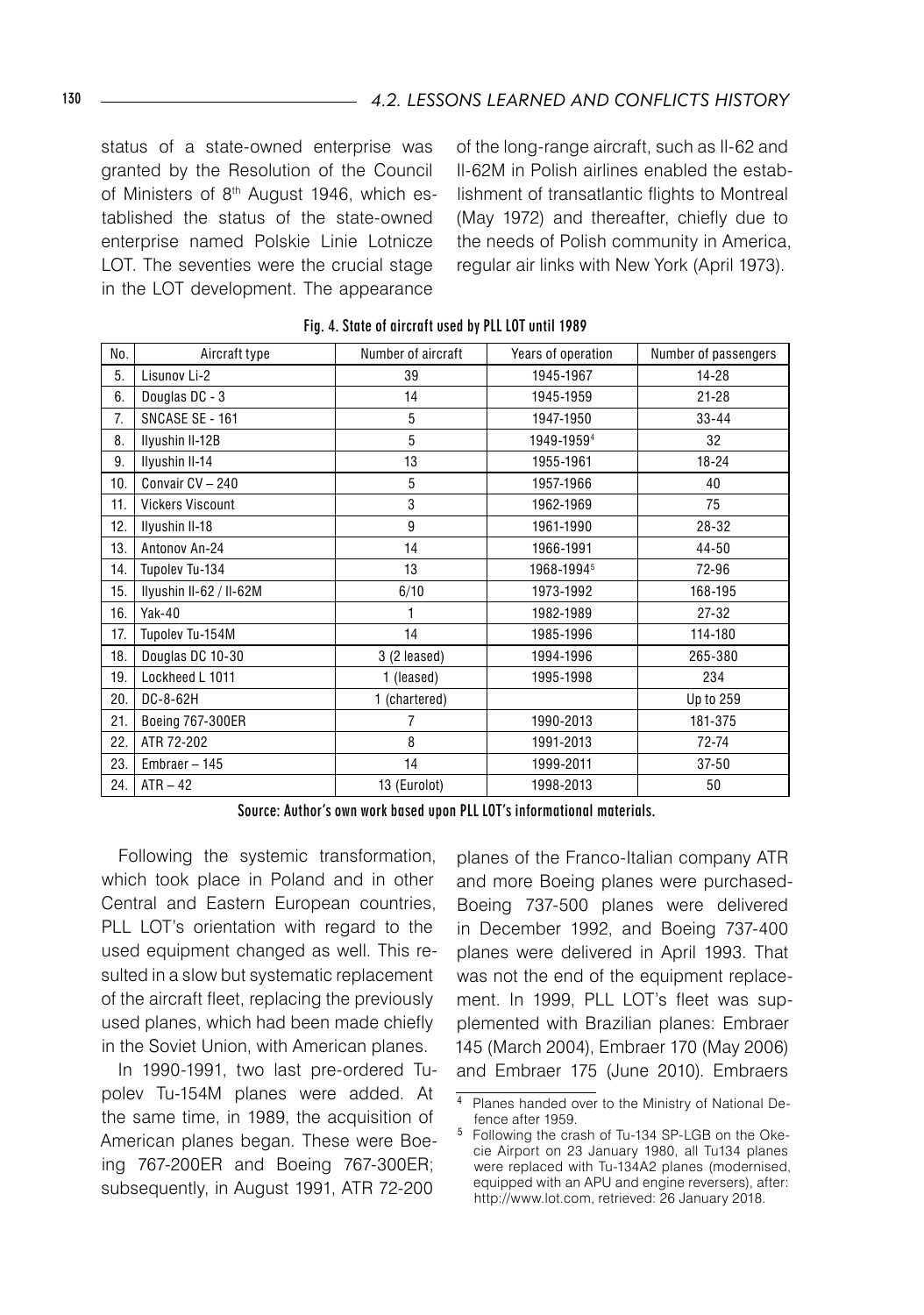status of a state-owned enterprise was granted by the Resolution of the Council of Ministers of 8<sup>th</sup> August 1946, which established the status of the state-owned enterprise named Polskie Linie Lotnicze LOT. The seventies were the crucial stage in the LOT development. The appearance

of the long-range aircraft, such as Il-62 and Il-62M in Polish airlines enabled the establishment of transatlantic flights to Montreal (May 1972) and thereafter, chiefly due to the needs of Polish community in America, regular air links with New York (April 1973).

| No. | Aircraft type           | Number of aircraft | Years of operation | Number of passengers |
|-----|-------------------------|--------------------|--------------------|----------------------|
| 5.  | Lisunov Li-2            | 39                 | 1945-1967          | $14 - 28$            |
| 6.  | Douglas DC - 3          | 14                 | 1945-1959          | $21 - 28$            |
| 7.  | SNCASE SE - 161         | 5                  | 1947-1950          | $33 - 44$            |
| 8.  | Ilyushin II-12B         | 5                  | 1949-19594         | 32                   |
| 9.  | Ilyushin II-14          | 13                 | 1955-1961          | $18 - 24$            |
| 10. | Convair CV - 240        | 5                  | 1957-1966          | 40                   |
| 11. | <b>Vickers Viscount</b> | 3                  | 1962-1969          | 75                   |
| 12. | Ilyushin II-18          | 9                  | 1961-1990          | 28-32                |
| 13. | Antonov An-24           | 14                 | 1966-1991          | 44-50                |
| 14. | Tupolev Tu-134          | 13                 | 1968-19945         | 72-96                |
| 15. | Ilyushin II-62 / II-62M | 6/10               | 1973-1992          | 168-195              |
| 16. | <b>Yak-40</b>           | 1                  | 1982-1989          | $27 - 32$            |
| 17. | Tupolev Tu-154M         | 14                 | 1985-1996          | 114-180              |
| 18. | Douglas DC 10-30        | $3(2$ leased)      | 1994-1996          | 265-380              |
| 19. | Lockheed L 1011         | 1 (leased)         | 1995-1998          | 234                  |
| 20. | DC-8-62H                | 1 (chartered)      |                    | Up to 259            |
| 21. | Boeing 767-300ER        | 7                  | 1990-2013          | 181-375              |
| 22. | ATR 72-202              | 8                  | 1991-2013          | 72-74                |
| 23. | Embraer $-145$          | 14                 | 1999-2011          | $37 - 50$            |
| 24. | $ATR - 42$              | 13 (Eurolot)       | 1998-2013          | 50                   |

Fig. 4. State of aircraft used by PLL LOT until 1989

Source: Author's own work based upon PLL LOT's informational materials.

Following the systemic transformation, which took place in Poland and in other Central and Eastern European countries, PLL LOT's orientation with regard to the used equipment changed as well. This resulted in a slow but systematic replacement of the aircraft fleet, replacing the previously used planes, which had been made chiefly in the Soviet Union, with American planes.

In 1990-1991, two last pre-ordered Tupolev Tu-154M planes were added. At the same time, in 1989, the acquisition of American planes began. These were Boeing 767-200ER and Boeing 767-300ER; subsequently, in August 1991, ATR 72-200

planes of the Franco-Italian company ATR and more Boeing planes were purchased-Boeing 737-500 planes were delivered in December 1992, and Boeing 737-400 planes were delivered in April 1993. That was not the end of the equipment replacement. In 1999, PLL LOT's fleet was supplemented with Brazilian planes: Embraer 145 (March 2004), Embraer 170 (May 2006) and Embraer 175 (June 2010). Embraers

Planes handed over to the Ministry of National Defence after 1959.

Following the crash of Tu-134 SP-LGB on the Okecie Airport on 23 January 1980, all Tu134 planes were replaced with Tu-134A2 planes (modernised, equipped with an APU and engine reversers), after: http://www.lot.com, retrieved: 26 January 2018.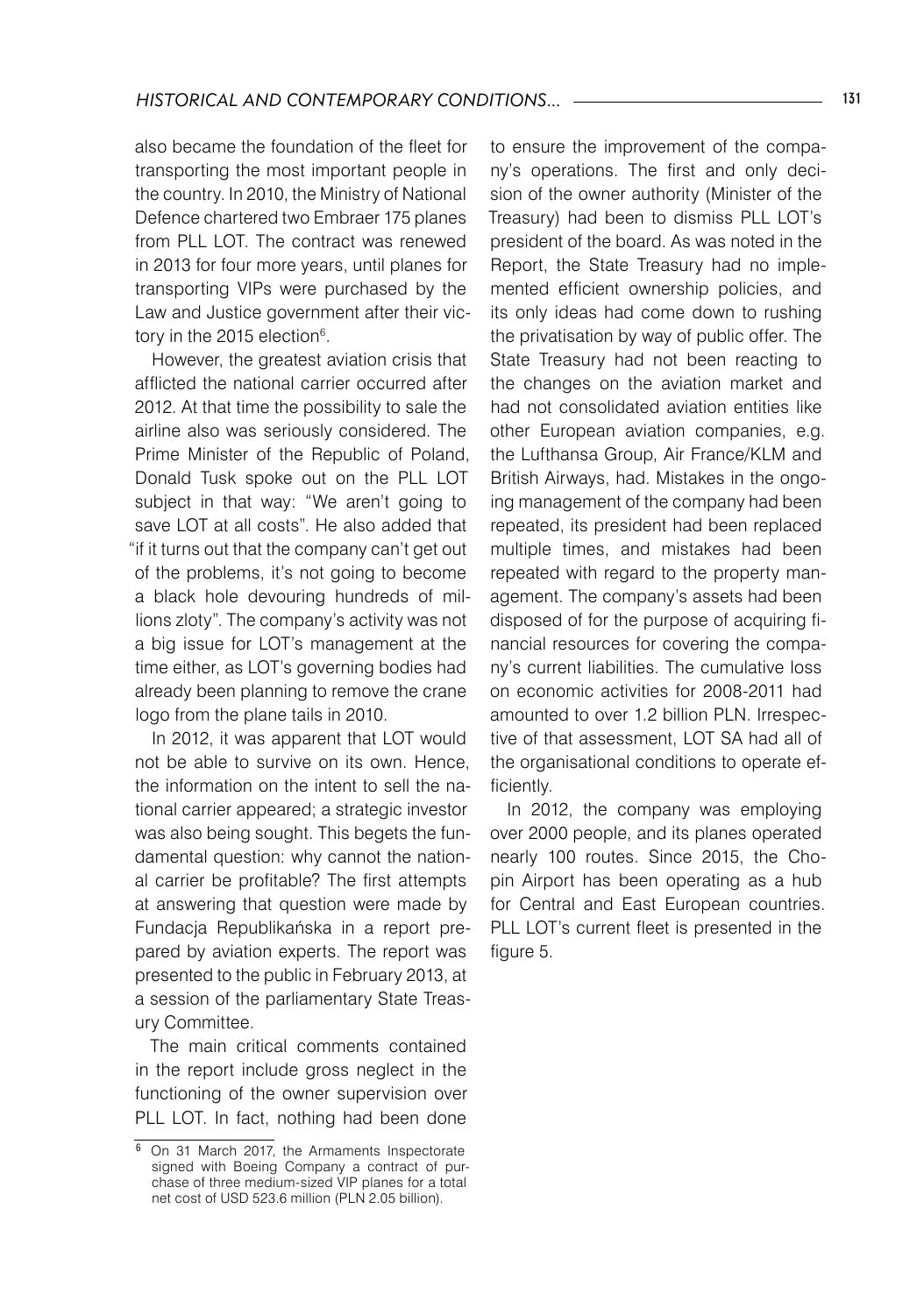also became the foundation of the fleet for transporting the most important people in the country. In 2010, the Ministry of National Defence chartered two Embraer 175 planes from PLL LOT. The contract was renewed in 2013 for four more years, until planes for transporting VIPs were purchased by the Law and Justice government after their victory in the 2015 election $^6$ .

However, the greatest aviation crisis that afflicted the national carrier occurred after 2012. At that time the possibility to sale the airline also was seriously considered. The Prime Minister of the Republic of Poland, Donald Tusk spoke out on the PLL LOT subject in that way: "We aren't going to save LOT at all costs". He also added that "if it turns out that the company can't get out of the problems, it's not going to become a black hole devouring hundreds of millions zloty". The company's activity was not a big issue for LOT's management at the time either, as LOT's governing bodies had already been planning to remove the crane logo from the plane tails in 2010.

In 2012, it was apparent that LOT would not be able to survive on its own. Hence, the information on the intent to sell the national carrier appeared; a strategic investor was also being sought. This begets the fundamental question: why cannot the national carrier be profitable? The first attempts at answering that question were made by Fundacja Republikańska in a report prepared by aviation experts. The report was presented to the public in February 2013, at a session of the parliamentary State Treasury Committee.

The main critical comments contained in the report include gross neglect in the functioning of the owner supervision over PLL LOT. In fact, nothing had been done to ensure the improvement of the company's operations. The first and only decision of the owner authority (Minister of the Treasury) had been to dismiss PLL LOT's president of the board. As was noted in the Report, the State Treasury had no implemented efficient ownership policies, and its only ideas had come down to rushing the privatisation by way of public offer. The State Treasury had not been reacting to the changes on the aviation market and had not consolidated aviation entities like other European aviation companies, e.g. the Lufthansa Group, Air France/KLM and British Airways, had. Mistakes in the ongoing management of the company had been repeated, its president had been replaced multiple times, and mistakes had been repeated with regard to the property management. The company's assets had been disposed of for the purpose of acquiring financial resources for covering the company's current liabilities. The cumulative loss on economic activities for 2008-2011 had amounted to over 1.2 billion PLN. Irrespective of that assessment, LOT SA had all of the organisational conditions to operate efficiently.

In 2012, the company was employing over 2000 people, and its planes operated nearly 100 routes. Since 2015, the Chopin Airport has been operating as a hub for Central and East European countries. PLL LOT's current fleet is presented in the figure 5.

<sup>&</sup>lt;sup>6</sup> On 31 March 2017, the Armaments Inspectorate signed with Boeing Company a contract of purchase of three medium-sized VIP planes for a total net cost of USD 523.6 million (PLN 2.05 billion).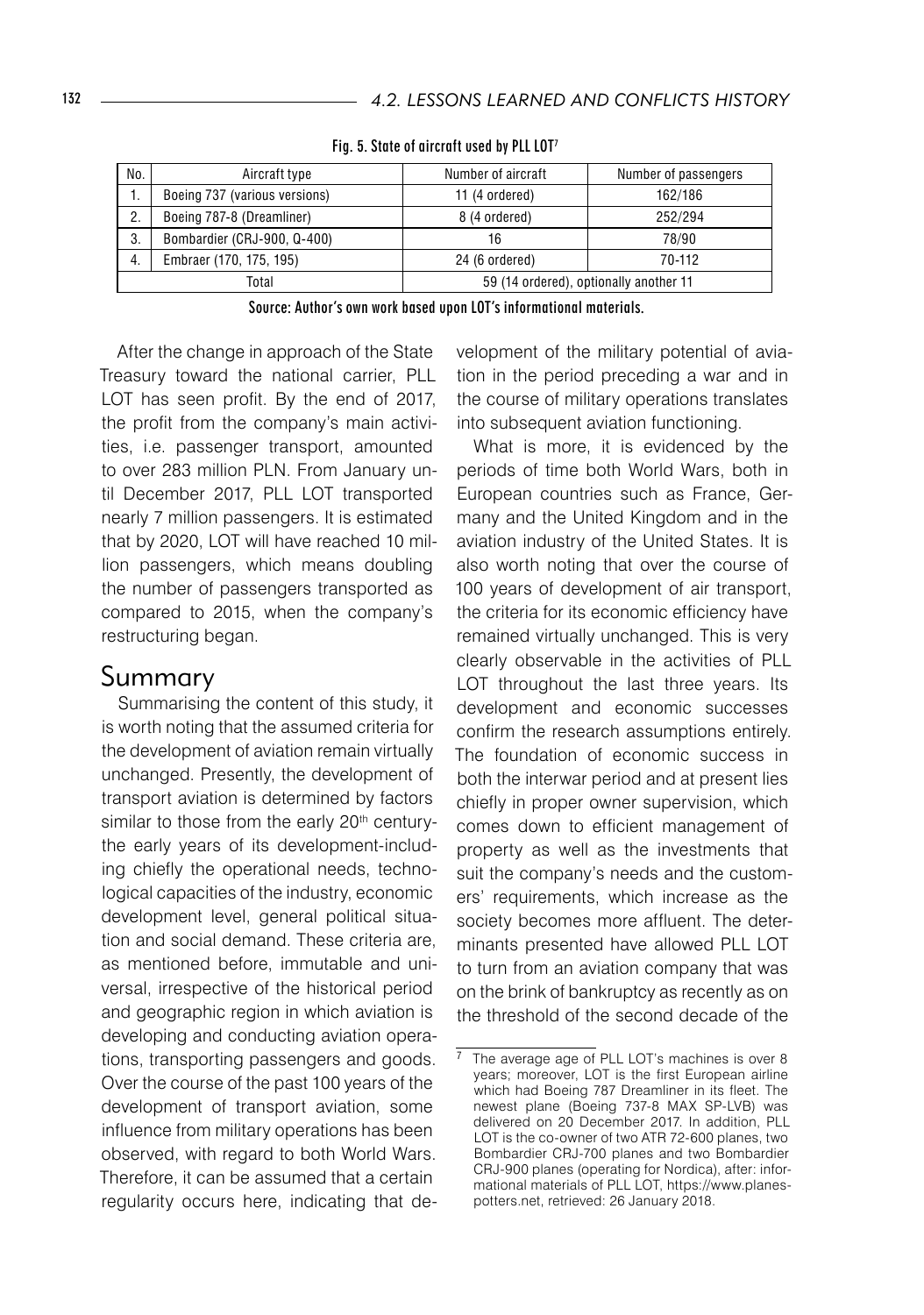| No.   | Aircraft type                 | Number of aircraft                     | Number of passengers |
|-------|-------------------------------|----------------------------------------|----------------------|
| .,    | Boeing 737 (various versions) | 11 (4 ordered)                         | 162/186              |
| 2.    | Boeing 787-8 (Dreamliner)     | 8 (4 ordered)                          | 252/294              |
| 3.    | Bombardier (CRJ-900, Q-400)   | 16                                     | 78/90                |
| 4.    | Embraer (170, 175, 195)       | 24 (6 ordered)                         | 70-112               |
| Total |                               | 59 (14 ordered), optionally another 11 |                      |

Fig. 5. State of aircraft used by PLL LOT7

Source: Author's own work based upon LOT's informational materials.

After the change in approach of the State Treasury toward the national carrier, PLL LOT has seen profit. By the end of 2017, the profit from the company's main activities, i.e. passenger transport, amounted to over 283 million PLN. From January until December 2017, PLL LOT transported nearly 7 million passengers. It is estimated that by 2020, LOT will have reached 10 million passengers, which means doubling the number of passengers transported as compared to 2015, when the company's restructuring began.

#### Summary

Summarising the content of this study, it is worth noting that the assumed criteria for the development of aviation remain virtually unchanged. Presently, the development of transport aviation is determined by factors similar to those from the early 20<sup>th</sup> centurythe early years of its development-including chiefly the operational needs, technological capacities of the industry, economic development level, general political situation and social demand. These criteria are, as mentioned before, immutable and universal, irrespective of the historical period and geographic region in which aviation is developing and conducting aviation operations, transporting passengers and goods. Over the course of the past 100 years of the development of transport aviation, some influence from military operations has been observed, with regard to both World Wars. Therefore, it can be assumed that a certain regularity occurs here, indicating that development of the military potential of aviation in the period preceding a war and in the course of military operations translates into subsequent aviation functioning.

What is more, it is evidenced by the periods of time both World Wars, both in European countries such as France, Germany and the United Kingdom and in the aviation industry of the United States. It is also worth noting that over the course of 100 years of development of air transport, the criteria for its economic efficiency have remained virtually unchanged. This is very clearly observable in the activities of PLL LOT throughout the last three years. Its development and economic successes confirm the research assumptions entirely. The foundation of economic success in both the interwar period and at present lies chiefly in proper owner supervision, which comes down to efficient management of property as well as the investments that suit the company's needs and the customers' requirements, which increase as the society becomes more affluent. The determinants presented have allowed PLL LOT to turn from an aviation company that was on the brink of bankruptcy as recently as on the threshold of the second decade of the

 The average age of PLL LOT's machines is over 8 years; moreover, LOT is the first European airline which had Boeing 787 Dreamliner in its fleet. The newest plane (Boeing 737-8 MAX SP-LVB) was delivered on 20 December 2017. In addition, PLL LOT is the co-owner of two ATR 72-600 planes, two Bombardier CRJ-700 planes and two Bombardier CRJ-900 planes (operating for Nordica), after: informational materials of PLL LOT, https://www.planespotters.net, retrieved: 26 January 2018.